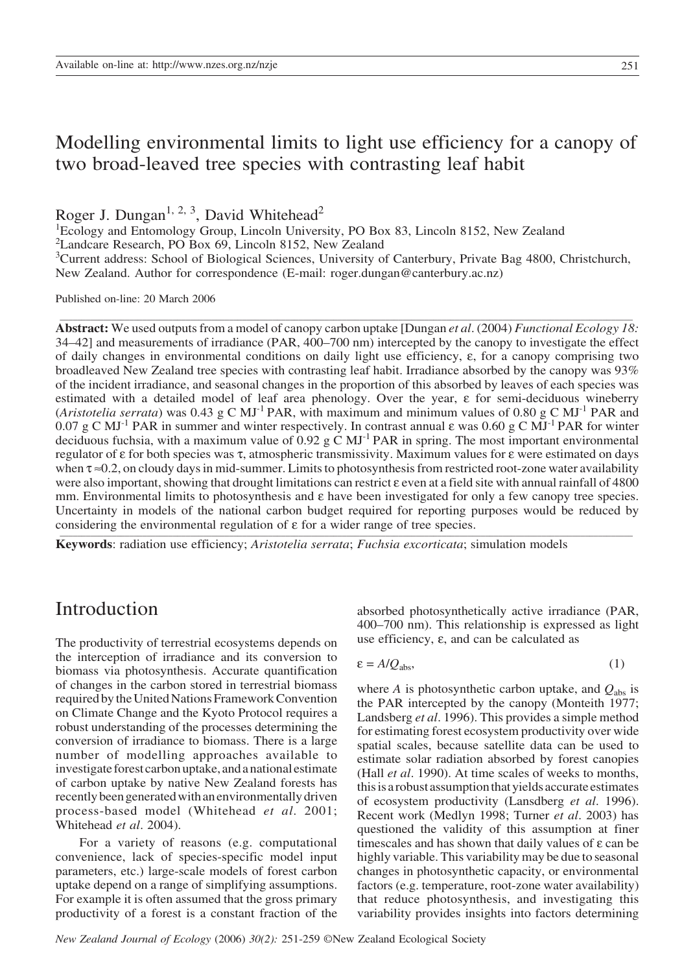# Modelling environmental limits to light use efficiency for a canopy of two broad-leaved tree species with contrasting leaf habit

Roger J. Dungan<sup>1, 2, 3</sup>, David Whitehead<sup>2</sup>

1 Ecology and Entomology Group, Lincoln University, PO Box 83, Lincoln 8152, New Zealand

<sup>2</sup>Landcare Research, PO Box 69, Lincoln 8152, New Zealand

<sup>3</sup>Current address: School of Biological Sciences, University of Canterbury, Private Bag 4800, Christchurch, New Zealand. Author for correspondence (E-mail: roger.dungan@canterbury.ac.nz)

\_\_\_\_\_\_\_\_\_\_\_\_\_\_\_\_\_\_\_\_\_\_\_\_\_\_\_\_\_\_\_\_\_\_\_\_\_\_\_\_\_\_\_\_\_\_\_\_\_\_\_\_\_\_\_\_\_\_\_\_\_\_\_\_\_\_\_\_\_\_\_\_\_\_\_\_\_\_\_\_\_\_\_\_\_\_\_\_\_\_\_\_\_\_\_\_\_\_\_\_\_\_\_\_\_\_\_\_\_\_\_\_\_\_\_\_\_\_\_\_\_\_\_\_\_\_\_\_\_\_\_\_

Published on-line: 20 March 2006

**Abstract:** We used outputs from a model of canopy carbon uptake [Dungan *et al*. (2004) *Functional Ecology 18:* 34–42] and measurements of irradiance (PAR, 400–700 nm) intercepted by the canopy to investigate the effect of daily changes in environmental conditions on daily light use efficiency, ε, for a canopy comprising two broadleaved New Zealand tree species with contrasting leaf habit. Irradiance absorbed by the canopy was 93% of the incident irradiance, and seasonal changes in the proportion of this absorbed by leaves of each species was estimated with a detailed model of leaf area phenology. Over the year, ε for semi-deciduous wineberry (*Aristotelia serrata*) was 0.43 g C MJ<sup>-1</sup> PAR, with maximum and minimum values of 0.80 g C MJ<sup>-1</sup> PAR and 0.07 g C MJ<sup>-1</sup> PAR in summer and winter respectively. In contrast annual  $\varepsilon$  was 0.60 g C MJ<sup>-1</sup> PAR for winter deciduous fuchsia, with a maximum value of 0.92 g  $\dot{C}$  MJ<sup>-1</sup> PAR in spring. The most important environmental regulator of ε for both species was τ, atmospheric transmissivity. Maximum values for ε were estimated on days when  $\tau \approx 0.2$ , on cloudy days in mid-summer. Limits to photosynthesis from restricted root-zone water availability were also important, showing that drought limitations can restrict ε even at a field site with annual rainfall of 4800 mm. Environmental limits to photosynthesis and  $\varepsilon$  have been investigated for only a few canopy tree species. Uncertainty in models of the national carbon budget required for reporting purposes would be reduced by considering the environmental regulation of  $\varepsilon$  for a wider range of tree species.

**Keywords**: radiation use efficiency; *Aristotelia serrata*; *Fuchsia excorticata*; simulation models

# Introduction

The productivity of terrestrial ecosystems depends on the interception of irradiance and its conversion to biomass via photosynthesis. Accurate quantification of changes in the carbon stored in terrestrial biomass required by the United Nations Framework Convention on Climate Change and the Kyoto Protocol requires a robust understanding of the processes determining the conversion of irradiance to biomass. There is a large number of modelling approaches available to investigate forest carbon uptake, and a national estimate of carbon uptake by native New Zealand forests has recently been generated with an environmentally driven process-based model (Whitehead *et al*. 2001; Whitehead *et al*. 2004).

For a variety of reasons (e.g. computational convenience, lack of species-specific model input parameters, etc.) large-scale models of forest carbon uptake depend on a range of simplifying assumptions. For example it is often assumed that the gross primary productivity of a forest is a constant fraction of the absorbed photosynthetically active irradiance (PAR, 400–700 nm). This relationship is expressed as light use efficiency,  $ε$ , and can be calculated as

$$
\varepsilon = A/Q_{\text{abs}},\tag{1}
$$

where *A* is photosynthetic carbon uptake, and  $Q_{\text{abs}}$  is the PAR intercepted by the canopy (Monteith 1977; Landsberg *et al*. 1996). This provides a simple method for estimating forest ecosystem productivity over wide spatial scales, because satellite data can be used to estimate solar radiation absorbed by forest canopies (Hall *et al*. 1990). At time scales of weeks to months, this is a robust assumption that yields accurate estimates of ecosystem productivity (Lansdberg *et al*. 1996). Recent work (Medlyn 1998; Turner *et al*. 2003) has questioned the validity of this assumption at finer timescales and has shown that daily values of  $\varepsilon$  can be highly variable. This variability may be due to seasonal changes in photosynthetic capacity, or environmental factors (e.g. temperature, root-zone water availability) that reduce photosynthesis, and investigating this variability provides insights into factors determining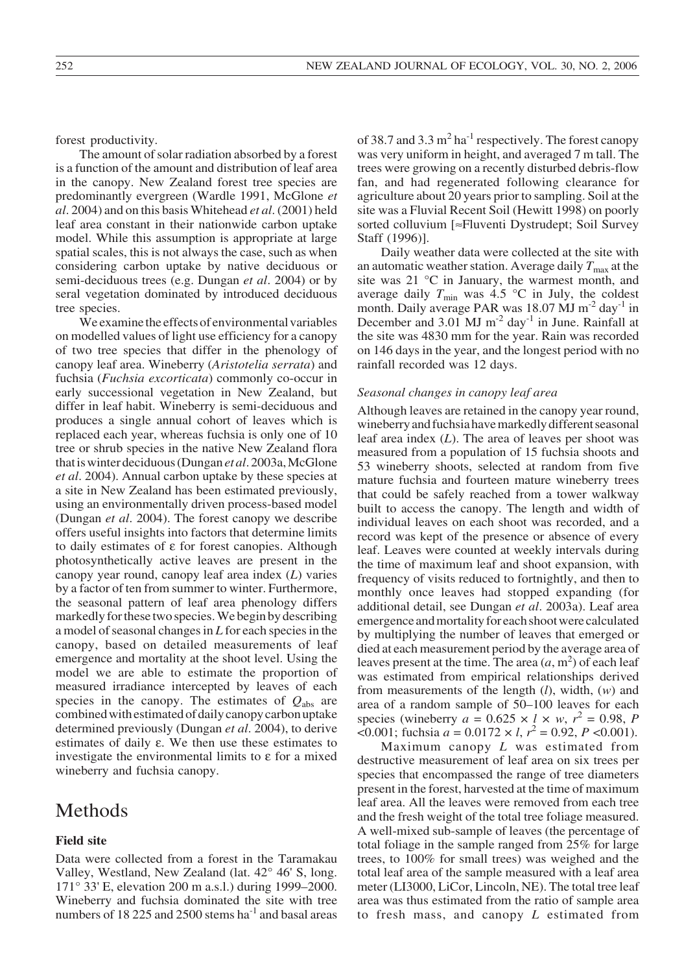forest productivity.

The amount of solar radiation absorbed by a forest is a function of the amount and distribution of leaf area in the canopy. New Zealand forest tree species are predominantly evergreen (Wardle 1991, McGlone *et al*. 2004) and on this basis Whitehead *et al*. (2001) held leaf area constant in their nationwide carbon uptake model. While this assumption is appropriate at large spatial scales, this is not always the case, such as when considering carbon uptake by native deciduous or semi-deciduous trees (e.g. Dungan *et al*. 2004) or by seral vegetation dominated by introduced deciduous tree species.

We examine the effects of environmental variables on modelled values of light use efficiency for a canopy of two tree species that differ in the phenology of canopy leaf area. Wineberry (*Aristotelia serrata*) and fuchsia (*Fuchsia excorticata*) commonly co-occur in early successional vegetation in New Zealand, but differ in leaf habit. Wineberry is semi-deciduous and produces a single annual cohort of leaves which is replaced each year, whereas fuchsia is only one of 10 tree or shrub species in the native New Zealand flora that is winter deciduous (Dungan *et al*. 2003a, McGlone *et al*. 2004). Annual carbon uptake by these species at a site in New Zealand has been estimated previously, using an environmentally driven process-based model (Dungan *et al*. 2004). The forest canopy we describe offers useful insights into factors that determine limits to daily estimates of ε for forest canopies. Although photosynthetically active leaves are present in the canopy year round, canopy leaf area index (*L*) varies by a factor of ten from summer to winter. Furthermore, the seasonal pattern of leaf area phenology differs markedly for these two species. We begin by describing a model of seasonal changes in *L* for each species in the canopy, based on detailed measurements of leaf emergence and mortality at the shoot level. Using the model we are able to estimate the proportion of measured irradiance intercepted by leaves of each species in the canopy. The estimates of  $Q_{\text{abs}}$  are combined with estimated of daily canopy carbon uptake determined previously (Dungan *et al*. 2004), to derive estimates of daily ε. We then use these estimates to investigate the environmental limits to ε for a mixed wineberry and fuchsia canopy.

## **Methods**

## **Field site**

Data were collected from a forest in the Taramakau Valley, Westland, New Zealand (lat. 42° 46' S, long. 171° 33' E, elevation 200 m a.s.l.) during 1999–2000. Wineberry and fuchsia dominated the site with tree numbers of 18 225 and 2500 stems  $ha^{-1}$  and basal areas

of 38.7 and 3.3  $m^2$  ha<sup>-1</sup> respectively. The forest canopy was very uniform in height, and averaged 7 m tall. The trees were growing on a recently disturbed debris-flow fan, and had regenerated following clearance for agriculture about 20 years prior to sampling. Soil at the site was a Fluvial Recent Soil (Hewitt 1998) on poorly sorted colluvium [≈Fluventi Dystrudept; Soil Survey Staff (1996)].

Daily weather data were collected at the site with an automatic weather station. Average daily  $T_{\text{max}}$  at the site was 21 °C in January, the warmest month, and average daily  $T_{\text{min}}$  was 4.5 °C in July, the coldest month. Daily average PAR was  $18.07$  MJ m<sup>-2</sup> day<sup>-1</sup> in December and 3.01 MJ m<sup>-2</sup> day<sup>-1</sup> in June. Rainfall at the site was 4830 mm for the year. Rain was recorded on 146 days in the year, and the longest period with no rainfall recorded was 12 days.

#### *Seasonal changes in canopy leaf area*

Although leaves are retained in the canopy year round, wineberry and fuchsia have markedly different seasonal leaf area index (*L*). The area of leaves per shoot was measured from a population of 15 fuchsia shoots and 53 wineberry shoots, selected at random from five mature fuchsia and fourteen mature wineberry trees that could be safely reached from a tower walkway built to access the canopy. The length and width of individual leaves on each shoot was recorded, and a record was kept of the presence or absence of every leaf. Leaves were counted at weekly intervals during the time of maximum leaf and shoot expansion, with frequency of visits reduced to fortnightly, and then to monthly once leaves had stopped expanding (for additional detail, see Dungan *et al*. 2003a). Leaf area emergence and mortality for each shoot were calculated by multiplying the number of leaves that emerged or died at each measurement period by the average area of leaves present at the time. The area  $(a, m<sup>2</sup>)$  of each leaf was estimated from empirical relationships derived from measurements of the length (*l*), width, (*w*) and area of a random sample of 50–100 leaves for each species (wineberry  $a = 0.625 \times l \times w$ ,  $r^2 = 0.98$ , *P*  $\leq$  0.001; fuchsia *a* = 0.0172  $\times$  *l*,  $r^2$  = 0.92, *P* < 0.001).

Maximum canopy *L* was estimated from destructive measurement of leaf area on six trees per species that encompassed the range of tree diameters present in the forest, harvested at the time of maximum leaf area. All the leaves were removed from each tree and the fresh weight of the total tree foliage measured. A well-mixed sub-sample of leaves (the percentage of total foliage in the sample ranged from 25% for large trees, to 100% for small trees) was weighed and the total leaf area of the sample measured with a leaf area meter (LI3000, LiCor, Lincoln, NE). The total tree leaf area was thus estimated from the ratio of sample area to fresh mass, and canopy *L* estimated from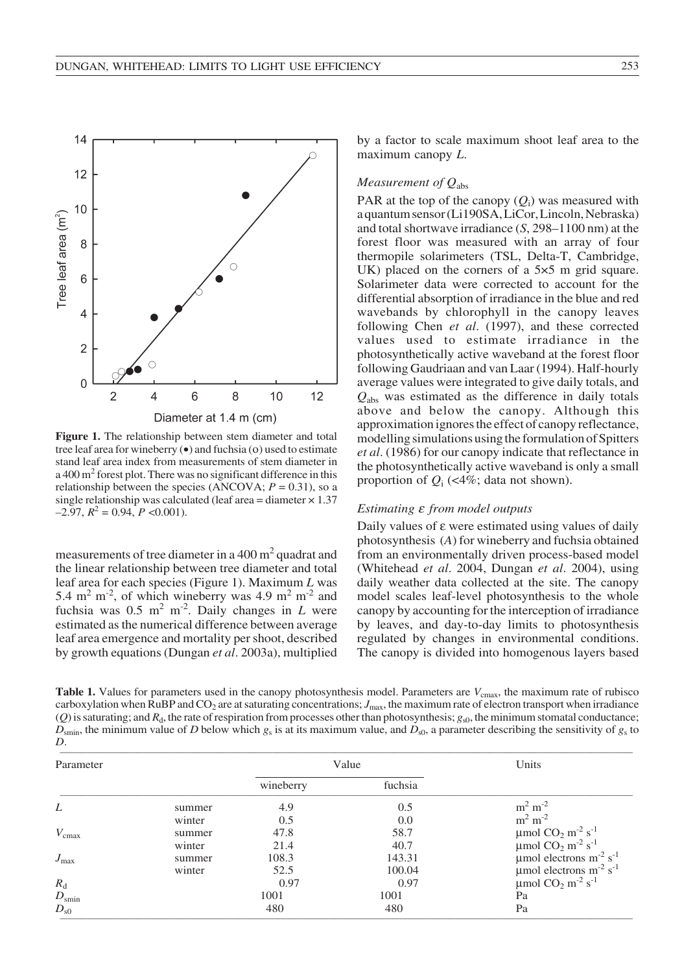

**Figure 1.** The relationship between stem diameter and total tree leaf area for wineberry (•) and fuchsia (ο) used to estimate stand leaf area index from measurements of stem diameter in a 400 m<sup>2</sup> forest plot. There was no significant difference in this relationship between the species (ANCOVA;  $P = 0.31$ ), so a single relationship was calculated (leaf area = diameter  $\times$  1.37  $-2.97, R^2 = 0.94, P < 0.001$ .

measurements of tree diameter in a  $400 \text{ m}^2$  quadrat and the linear relationship between tree diameter and total leaf area for each species (Figure 1). Maximum *L* was 5.4 m<sup>2</sup> m<sup>-2</sup>, of which wineberry was 4.9 m<sup>2</sup> m<sup>-2</sup> and fuchsia was  $0.5 \text{ m}^2 \text{ m}^2$ . Daily changes in *L* were estimated as the numerical difference between average leaf area emergence and mortality per shoot, described by growth equations (Dungan *et al*. 2003a), multiplied by a factor to scale maximum shoot leaf area to the maximum canopy *L*.

### *Measurement of Q*abs

PAR at the top of the canopy  $(Q_i)$  was measured with a quantum sensor (Li190SA, LiCor, Lincoln, Nebraska) and total shortwave irradiance (*S*, 298–1100 nm) at the forest floor was measured with an array of four thermopile solarimeters (TSL, Delta-T, Cambridge, UK) placed on the corners of a 5×5 m grid square. Solarimeter data were corrected to account for the differential absorption of irradiance in the blue and red wavebands by chlorophyll in the canopy leaves following Chen *et al*. (1997), and these corrected values used to estimate irradiance in the photosynthetically active waveband at the forest floor following Gaudriaan and van Laar (1994). Half-hourly average values were integrated to give daily totals, and *Q*abs was estimated as the difference in daily totals above and below the canopy. Although this approximation ignores the effect of canopy reflectance, modelling simulations using the formulation of Spitters *et al*. (1986) for our canopy indicate that reflectance in the photosynthetically active waveband is only a small proportion of  $Q_i$  (<4%; data not shown).

### *Estimating* ε *from model outputs*

Daily values of  $ε$  were estimated using values of daily photosynthesis (*A*) for wineberry and fuchsia obtained from an environmentally driven process-based model (Whitehead *et al*. 2004, Dungan *et al*. 2004), using daily weather data collected at the site. The canopy model scales leaf-level photosynthesis to the whole canopy by accounting for the interception of irradiance by leaves, and day-to-day limits to photosynthesis regulated by changes in environmental conditions. The canopy is divided into homogenous layers based

**Table 1.** Values for parameters used in the canopy photosynthesis model. Parameters are  $V_{\text{cmax}}$ , the maximum rate of rubisco carboxylation when RuBP and CO<sub>2</sub> are at saturating concentrations;  $J_{\text{max}}$ , the maximum rate of electron transport when irradiance (*Q*) is saturating; and  $R_d$ , the rate of respiration from processes other than photosynthesis;  $g_{s0}$ , the minimum stomatal conductance;  $D_{\text{smin}}$ , the minimum value of *D* below which  $g_s$  is at its maximum value, and  $D_{s0}$ , a parameter describing the sensitivity of  $g_s$  to *D*. \_\_\_\_\_\_\_\_\_\_\_\_\_\_\_\_\_\_\_\_\_\_\_\_\_\_\_\_\_\_\_\_\_\_\_\_\_\_\_\_\_\_\_\_\_\_\_\_\_\_\_\_\_\_\_\_\_\_\_\_\_\_\_\_\_\_\_\_\_\_\_\_\_\_\_\_\_\_\_\_\_\_\_\_\_\_\_\_\_\_\_\_\_\_\_\_\_\_\_\_\_\_\_\_\_\_\_\_\_\_\_\_\_\_\_\_\_\_\_\_\_\_\_\_\_\_\_\_\_\_\_\_

| Parameter         |        | Value     |         | Units                                                                                                                  |  |
|-------------------|--------|-----------|---------|------------------------------------------------------------------------------------------------------------------------|--|
|                   |        | wineberry | fuchsia |                                                                                                                        |  |
| L                 | summer | 4.9       | 0.5     | $m2 m-2$                                                                                                               |  |
|                   | winter | 0.5       | 0.0     | $m2 m-2$                                                                                                               |  |
| $V_{\text{cmax}}$ | summer | 47.8      | 58.7    | $\mu$ mol CO <sub>2</sub> m <sup>-2</sup> s <sup>-1</sup><br>$\mu$ mol CO <sub>2</sub> m <sup>-2</sup> s <sup>-1</sup> |  |
|                   | winter | 21.4      | 40.7    |                                                                                                                        |  |
| $J_{\text{max}}$  | summer | 108.3     | 143.31  | umol electrons $m-2 s-1$                                                                                               |  |
|                   | winter | 52.5      | 100.04  | $\mu$ mol electrons m <sup>-2</sup> s <sup>-1</sup>                                                                    |  |
| $R_{\rm d}$       |        | 0.97      | 0.97    | $\mu$ mol CO <sub>2</sub> m <sup>-2</sup> s <sup>-1</sup>                                                              |  |
| $D_{\text{smin}}$ |        | 1001      | 1001    | Pa                                                                                                                     |  |
| $D_{s0}$          |        | 480       | 480     | Pa                                                                                                                     |  |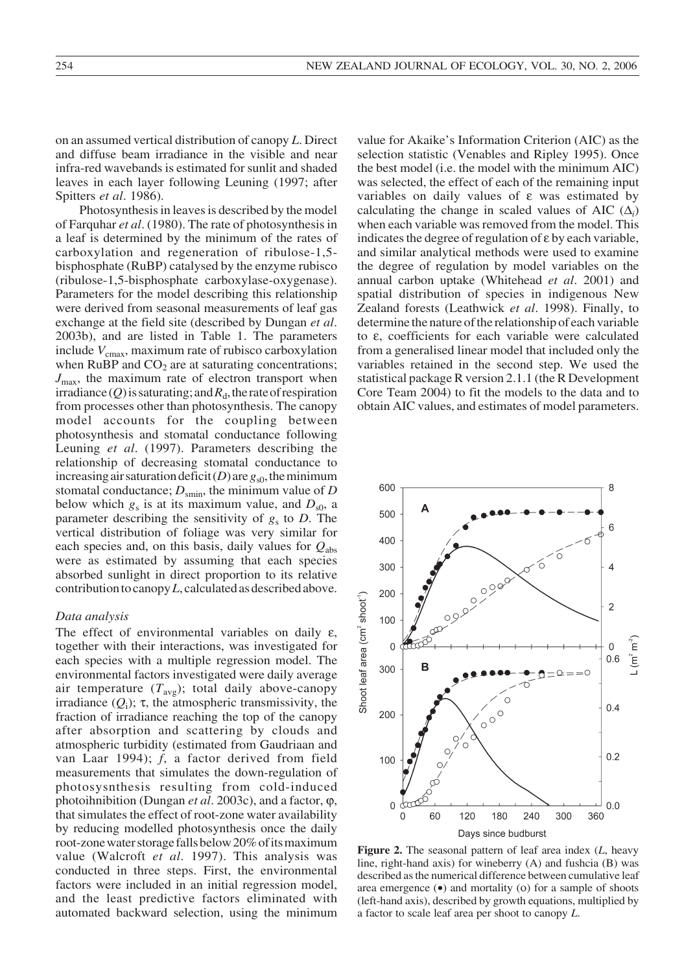on an assumed vertical distribution of canopy *L*. Direct and diffuse beam irradiance in the visible and near infra-red wavebands is estimated for sunlit and shaded leaves in each layer following Leuning (1997; after Spitters *et al*. 1986).

Photosynthesis in leaves is described by the model of Farquhar *et al*. (1980). The rate of photosynthesis in a leaf is determined by the minimum of the rates of carboxylation and regeneration of ribulose-1,5 bisphosphate (RuBP) catalysed by the enzyme rubisco (ribulose-1,5-bisphosphate carboxylase-oxygenase). Parameters for the model describing this relationship were derived from seasonal measurements of leaf gas exchange at the field site (described by Dungan *et al*. 2003b), and are listed in Table 1. The parameters include  $V_{\text{cmax}}$ , maximum rate of rubisco carboxylation when RuBP and  $CO<sub>2</sub>$  are at saturating concentrations;  $J_{\text{max}}$ , the maximum rate of electron transport when irradiance  $(Q)$  is saturating; and  $R_d$ , the rate of respiration from processes other than photosynthesis. The canopy model accounts for the coupling between photosynthesis and stomatal conductance following Leuning *et al*. (1997). Parameters describing the relationship of decreasing stomatal conductance to increasing air saturation deficit (*D*) are  $g<sub>s0</sub>$ , the minimum stomatal conductance;  $D_{\text{smin}}$ , the minimum value of *D* below which  $g_s$  is at its maximum value, and  $D_{s0}$ , a parameter describing the sensitivity of  $g_s$  to *D*. The vertical distribution of foliage was very similar for each species and, on this basis, daily values for  $Q_{\text{abs}}$ were as estimated by assuming that each species absorbed sunlight in direct proportion to its relative contribution to canopy *L*, calculated as described above.

#### *Data analysis*

The effect of environmental variables on daily ε, together with their interactions, was investigated for each species with a multiple regression model. The environmental factors investigated were daily average air temperature  $(T_{avg})$ ; total daily above-canopy irradiance  $(Q_i)$ ;  $\tau$ , the atmospheric transmissivity, the fraction of irradiance reaching the top of the canopy after absorption and scattering by clouds and atmospheric turbidity (estimated from Gaudriaan and van Laar 1994); *f*, a factor derived from field measurements that simulates the down-regulation of photosysnthesis resulting from cold-induced photoihnibition (Dungan *et al*. 2003c), and a factor, ϕ, that simulates the effect of root-zone water availability by reducing modelled photosynthesis once the daily root-zone water storage falls below 20% of its maximum value (Walcroft *et al*. 1997). This analysis was conducted in three steps. First, the environmental factors were included in an initial regression model, and the least predictive factors eliminated with automated backward selection, using the minimum value for Akaike's Information Criterion (AIC) as the selection statistic (Venables and Ripley 1995). Once the best model (i.e. the model with the minimum AIC) was selected, the effect of each of the remaining input variables on daily values of ε was estimated by calculating the change in scaled values of AIC  $(\Delta_i)$ when each variable was removed from the model. This indicates the degree of regulation of ε by each variable, and similar analytical methods were used to examine the degree of regulation by model variables on the annual carbon uptake (Whitehead *et al*. 2001) and spatial distribution of species in indigenous New Zealand forests (Leathwick *et al*. 1998). Finally, to determine the nature of the relationship of each variable to ε, coefficients for each variable were calculated from a generalised linear model that included only the variables retained in the second step. We used the statistical package R version 2.1.1 (the R Development Core Team 2004) to fit the models to the data and to obtain AIC values, and estimates of model parameters.



**Figure 2.** The seasonal pattern of leaf area index (*L*, heavy line, right-hand axis) for wineberry (A) and fushcia (B) was described as the numerical difference between cumulative leaf area emergence (•) and mortality (ο) for a sample of shoots (left-hand axis), described by growth equations, multiplied by a factor to scale leaf area per shoot to canopy *L*.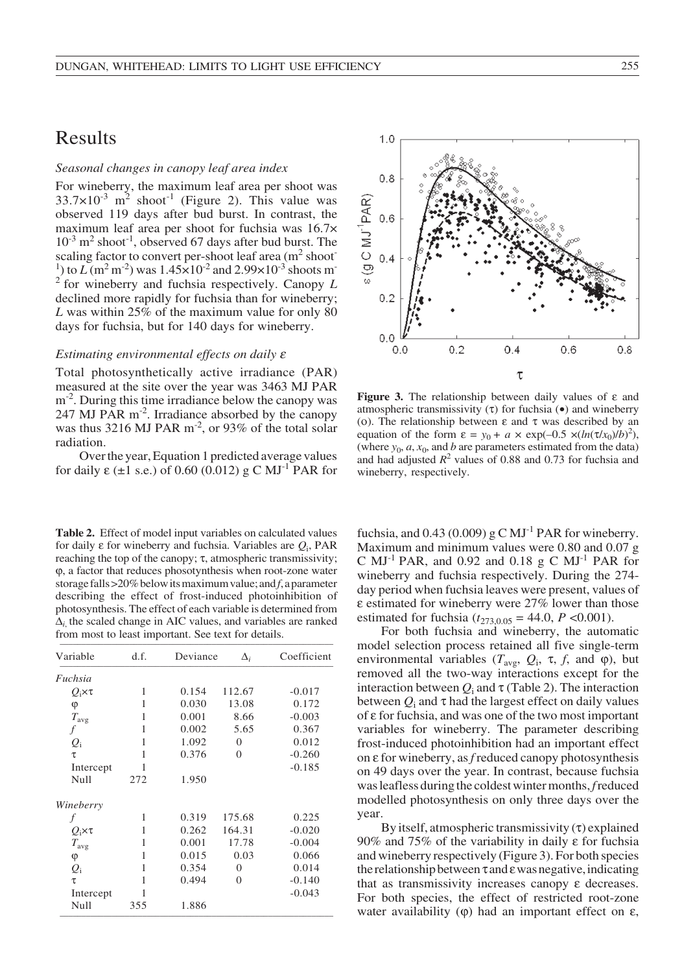# Results

## *Seasonal changes in canopy leaf area index*

For wineberry, the maximum leaf area per shoot was  $33.7 \times 10^{-3}$  m<sup>2</sup> shoot<sup>-1</sup> (Figure 2). This value was observed 119 days after bud burst. In contrast, the maximum leaf area per shoot for fuchsia was 16.7×  $10^{-3}$  m<sup>2</sup> shoot<sup>-1</sup>, observed 67 days after bud burst. The scaling factor to convert per-shoot leaf area  $(m^2 \text{ shoot}$ <sup>1</sup>) to  $L(m^2m^{-2})$  was  $1.45 \times 10^{-2}$  and  $2.99 \times 10^{-3}$  shoots m<sup>-</sup>  $2^{2}$  for wineberry and fuchsia respectively. Canopy *L* declined more rapidly for fuchsia than for wineberry; *L* was within 25% of the maximum value for only 80 days for fuchsia, but for 140 days for wineberry.

#### *Estimating environmental effects on daily* <sup>ε</sup>

Total photosynthetically active irradiance (PAR) measured at the site over the year was 3463 MJ PAR  $m<sup>-2</sup>$ . During this time irradiance below the canopy was 247 MJ PAR m-2. Irradiance absorbed by the canopy was thus 3216 MJ PAR  $m^{-2}$ , or 93% of the total solar radiation.

Over the year, Equation 1 predicted average values for daily ε ( $\pm$ 1 s.e.) of 0.60 (0.012) g C MJ<sup>-1</sup> PAR for

**Table 2.** Effect of model input variables on calculated values for daily ε for wineberry and fuchsia. Variables are *Q*i, PAR reaching the top of the canopy; τ, atmospheric transmissivity; ϕ, a factor that reduces phosotynthesis when root-zone water storage falls >20% below its maximum value; and *f*, a parameter describing the effect of frost-induced photoinhibition of photosynthesis. The effect of each variable is determined from ∆*i*, the scaled change in AIC values, and variables are ranked from most to least important. See text for details.

| Variable          | d.f. | Deviance | $\Delta_i$   | Coefficient |
|-------------------|------|----------|--------------|-------------|
| Fuchsia           |      |          |              |             |
| $Q_i \times \tau$ | 1    | 0.154    | 112.67       | $-0.017$    |
| φ                 | 1    | 0.030    | 13.08        | 0.172       |
| $T_{\rm avg}$     | 1    | 0.001    | 8.66         | $-0.003$    |
| f                 | 1    | 0.002    | 5.65         | 0.367       |
| $Q_i$             | 1    | 1.092    | $\mathbf{0}$ | 0.012       |
| τ                 | 1    | 0.376    | $\Omega$     | $-0.260$    |
| Intercept         | 1    |          |              | $-0.185$    |
| Null              | 272  | 1.950    |              |             |
| Wineberry         |      |          |              |             |
| f                 | 1    | 0.319    | 175.68       | 0.225       |
| $Q_i \times \tau$ | 1    | 0.262    | 164.31       | $-0.020$    |
| $T_{\rm avg}$     | 1    | 0.001    | 17.78        | $-0.004$    |
| φ                 | 1    | 0.015    | 0.03         | 0.066       |
| $Q_i$             | 1    | 0.354    | $\Omega$     | 0.014       |
| τ                 | 1    | 0.494    | $\mathbf{0}$ | $-0.140$    |
| Intercept         | 1    |          |              | $-0.043$    |
| Null              | 355  | 1.886    |              |             |



**Figure 3.** The relationship between daily values of ε and atmospheric transmissivity  $(\tau)$  for fuchsia  $(\bullet)$  and wineberry (ο). The relationship between ε and τ was described by an equation of the form  $\varepsilon = y_0 + a \times \exp(-0.5 \times (\ln(\tau/x_0)/b)^2)$ . (where  $y_0$ ,  $a$ ,  $x_0$ , and  $b$  are parameters estimated from the data) and had adjusted  $R^2$  values of 0.88 and 0.73 for fuchsia and wineberry, respectively.

fuchsia, and  $0.43$  (0.009) g C MJ<sup>-1</sup> PAR for wineberry. Maximum and minimum values were 0.80 and 0.07 g C MJ<sup>-1</sup> PAR, and 0.92 and 0.18 g C MJ<sup>-1</sup> PAR for wineberry and fuchsia respectively. During the 274 day period when fuchsia leaves were present, values of ε estimated for wineberry were 27% lower than those estimated for fuchsia  $(t_{273,0.05} = 44.0, P < 0.001)$ .

For both fuchsia and wineberry, the automatic model selection process retained all five single-term environmental variables ( $T_{\text{avg}}$ ,  $Q_i$ ,  $\tau$ ,  $f$ , and  $\varphi$ ), but removed all the two-way interactions except for the interaction between  $Q_i$  and  $\tau$  (Table 2). The interaction between  $Q_i$  and  $\tau$  had the largest effect on daily values of ε for fuchsia, and was one of the two most important variables for wineberry. The parameter describing frost-induced photoinhibition had an important effect on ε for wineberry, as *f* reduced canopy photosynthesis on 49 days over the year. In contrast, because fuchsia was leafless during the coldest winter months, *f* reduced modelled photosynthesis on only three days over the year.

By itself, atmospheric transmissivity  $(\tau)$  explained 90% and 75% of the variability in daily ε for fuchsia and wineberry respectively (Figure 3). For both species the relationship between  $\tau$  and  $\varepsilon$  was negative, indicating that as transmissivity increases canopy ε decreases. For both species, the effect of restricted root-zone water availability ( $φ$ ) had an important effect on ε,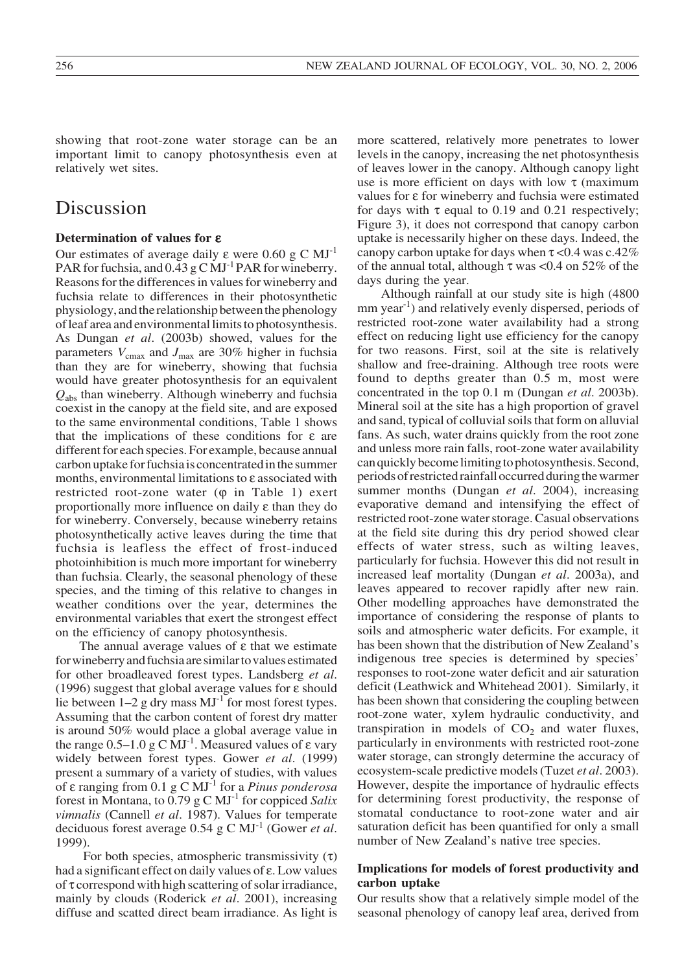showing that root-zone water storage can be an important limit to canopy photosynthesis even at relatively wet sites.

## Discussion

#### **Determination of values for** ε

Our estimates of average daily ε were 0.60 g C  $MJ<sup>-1</sup>$ PAR for fuchsia, and  $0.43$  g C MJ<sup>-1</sup> PAR for wineberry. Reasons for the differences in values for wineberry and fuchsia relate to differences in their photosynthetic physiology, and the relationship between the phenology of leaf area and environmental limits to photosynthesis. As Dungan *et al*. (2003b) showed, values for the parameters  $V_{\text{cmax}}$  and  $J_{\text{max}}$  are 30% higher in fuchsia than they are for wineberry, showing that fuchsia would have greater photosynthesis for an equivalent *Q*abs than wineberry. Although wineberry and fuchsia coexist in the canopy at the field site, and are exposed to the same environmental conditions, Table 1 shows that the implications of these conditions for ε are different for each species. For example, because annual carbon uptake for fuchsia is concentrated in the summer months, environmental limitations to ε associated with restricted root-zone water  $(\varphi$  in Table 1) exert proportionally more influence on daily ε than they do for wineberry. Conversely, because wineberry retains photosynthetically active leaves during the time that fuchsia is leafless the effect of frost-induced photoinhibition is much more important for wineberry than fuchsia. Clearly, the seasonal phenology of these species, and the timing of this relative to changes in weather conditions over the year, determines the environmental variables that exert the strongest effect on the efficiency of canopy photosynthesis.

The annual average values of  $\varepsilon$  that we estimate for wineberry and fuchsia are similar to values estimated for other broadleaved forest types. Landsberg *et al*. (1996) suggest that global average values for ε should lie between  $1-2$  g dry mass  $MJ<sup>-1</sup>$  for most forest types. Assuming that the carbon content of forest dry matter is around 50% would place a global average value in the range  $0.5-1.0$  g C MJ<sup>-1</sup>. Measured values of ε vary widely between forest types. Gower *et al*. (1999) present a summary of a variety of studies, with values of ε ranging from 0.1 g C MJ-1 for a *Pinus ponderosa* forest in Montana, to 0.79 g C MJ-1 for coppiced *Salix vimnalis* (Cannell *et al*. 1987). Values for temperate deciduous forest average 0.54 g C MJ-1 (Gower *et al*. 1999).

For both species, atmospheric transmissivity  $(τ)$ had a significant effect on daily values of ε. Low values of τ correspond with high scattering of solar irradiance, mainly by clouds (Roderick *et al*. 2001), increasing diffuse and scatted direct beam irradiance. As light is more scattered, relatively more penetrates to lower levels in the canopy, increasing the net photosynthesis of leaves lower in the canopy. Although canopy light use is more efficient on days with low  $\tau$  (maximum values for ε for wineberry and fuchsia were estimated for days with  $\tau$  equal to 0.19 and 0.21 respectively; Figure 3), it does not correspond that canopy carbon uptake is necessarily higher on these days. Indeed, the canopy carbon uptake for days when  $\tau$  <0.4 was c.42% of the annual total, although  $\tau$  was <0.4 on 52% of the days during the year.

Although rainfall at our study site is high (4800 mm year<sup>-1</sup>) and relatively evenly dispersed, periods of restricted root-zone water availability had a strong effect on reducing light use efficiency for the canopy for two reasons. First, soil at the site is relatively shallow and free-draining. Although tree roots were found to depths greater than 0.5 m, most were concentrated in the top 0.1 m (Dungan *et al*. 2003b). Mineral soil at the site has a high proportion of gravel and sand, typical of colluvial soils that form on alluvial fans. As such, water drains quickly from the root zone and unless more rain falls, root-zone water availability can quickly become limiting to photosynthesis. Second, periods of restricted rainfall occurred during the warmer summer months (Dungan *et al.* 2004), increasing evaporative demand and intensifying the effect of restricted root-zone water storage. Casual observations at the field site during this dry period showed clear effects of water stress, such as wilting leaves, particularly for fuchsia. However this did not result in increased leaf mortality (Dungan *et al*. 2003a), and leaves appeared to recover rapidly after new rain. Other modelling approaches have demonstrated the importance of considering the response of plants to soils and atmospheric water deficits. For example, it has been shown that the distribution of New Zealand's indigenous tree species is determined by species' responses to root-zone water deficit and air saturation deficit (Leathwick and Whitehead 2001). Similarly, it has been shown that considering the coupling between root-zone water, xylem hydraulic conductivity, and transpiration in models of  $CO<sub>2</sub>$  and water fluxes, particularly in environments with restricted root-zone water storage, can strongly determine the accuracy of ecosystem-scale predictive models (Tuzet *et al*. 2003). However, despite the importance of hydraulic effects for determining forest productivity, the response of stomatal conductance to root-zone water and air saturation deficit has been quantified for only a small number of New Zealand's native tree species.

### **Implications for models of forest productivity and carbon uptake**

Our results show that a relatively simple model of the seasonal phenology of canopy leaf area, derived from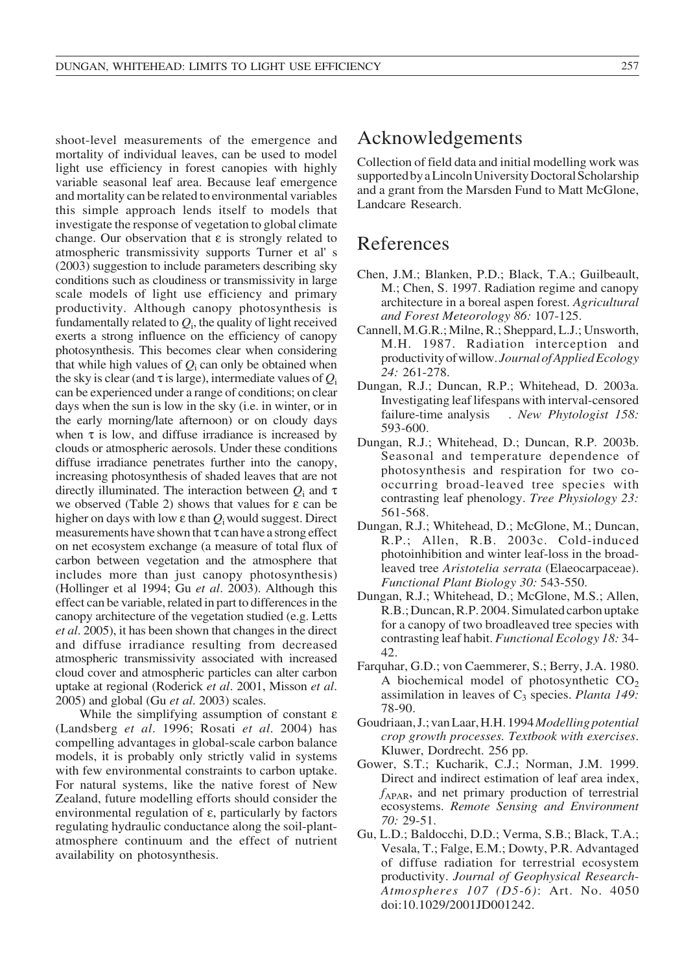shoot-level measurements of the emergence and mortality of individual leaves, can be used to model light use efficiency in forest canopies with highly variable seasonal leaf area. Because leaf emergence and mortality can be related to environmental variables this simple approach lends itself to models that investigate the response of vegetation to global climate change. Our observation that  $\varepsilon$  is strongly related to atmospheric transmissivity supports Turner et al' s (2003) suggestion to include parameters describing sky conditions such as cloudiness or transmissivity in large scale models of light use efficiency and primary productivity. Although canopy photosynthesis is fundamentally related to  $Q_i$ , the quality of light received exerts a strong influence on the efficiency of canopy photosynthesis. This becomes clear when considering that while high values of  $Q_i$  can only be obtained when the sky is clear (and  $\tau$  is large), intermediate values of  $Q_i$ can be experienced under a range of conditions; on clear days when the sun is low in the sky (i.e. in winter, or in the early morning/late afternoon) or on cloudy days when  $\tau$  is low, and diffuse irradiance is increased by clouds or atmospheric aerosols. Under these conditions diffuse irradiance penetrates further into the canopy, increasing photosynthesis of shaded leaves that are not directly illuminated. The interaction between *Q*<sup>i</sup> and τ we observed (Table 2) shows that values for  $\varepsilon$  can be higher on days with low ε than *Q*i would suggest. Direct measurements have shown that  $\tau$  can have a strong effect on net ecosystem exchange (a measure of total flux of carbon between vegetation and the atmosphere that includes more than just canopy photosynthesis) (Hollinger et al 1994; Gu *et al*. 2003). Although this effect can be variable, related in part to differences in the canopy architecture of the vegetation studied (e.g. Letts *et al*. 2005), it has been shown that changes in the direct and diffuse irradiance resulting from decreased atmospheric transmissivity associated with increased cloud cover and atmospheric particles can alter carbon uptake at regional (Roderick *et al*. 2001, Misson *et al*. 2005) and global (Gu *et al*. 2003) scales.

While the simplifying assumption of constant ε (Landsberg *et al*. 1996; Rosati *et al*. 2004) has compelling advantages in global-scale carbon balance models, it is probably only strictly valid in systems with few environmental constraints to carbon uptake. For natural systems, like the native forest of New Zealand, future modelling efforts should consider the environmental regulation of ε, particularly by factors regulating hydraulic conductance along the soil-plantatmosphere continuum and the effect of nutrient availability on photosynthesis.

## Acknowledgements

Collection of field data and initial modelling work was supported by a Lincoln University Doctoral Scholarship and a grant from the Marsden Fund to Matt McGlone, Landcare Research.

# References

- Chen, J.M.; Blanken, P.D.; Black, T.A.; Guilbeault, M.; Chen, S. 1997. Radiation regime and canopy architecture in a boreal aspen forest. *Agricultural and Forest Meteorology 86:* 107-125.
- Cannell, M.G.R.; Milne, R.; Sheppard, L.J.; Unsworth, M.H. 1987. Radiation interception and productivity of willow. *Journal of Applied Ecology 24:* 261-278.
- Dungan, R.J.; Duncan, R.P.; Whitehead, D. 2003a. Investigating leaf lifespans with interval-censored failure-time analysis . *New Phytologist 158:* 593-600.
- Dungan, R.J.; Whitehead, D.; Duncan, R.P. 2003b. Seasonal and temperature dependence of photosynthesis and respiration for two cooccurring broad-leaved tree species with contrasting leaf phenology. *Tree Physiology 23:* 561-568.
- Dungan, R.J.; Whitehead, D.; McGlone, M.; Duncan, R.P.; Allen, R.B. 2003c. Cold-induced photoinhibition and winter leaf-loss in the broadleaved tree *Aristotelia serrata* (Elaeocarpaceae). *Functional Plant Biology 30:* 543-550.
- Dungan, R.J.; Whitehead, D.; McGlone, M.S.; Allen, R.B.; Duncan, R.P. 2004. Simulated carbon uptake for a canopy of two broadleaved tree species with contrasting leaf habit. *Functional Ecology 18:* 34- 42.
- Farquhar, G.D.; von Caemmerer, S.; Berry, J.A. 1980. A biochemical model of photosynthetic  $CO<sub>2</sub>$ assimilation in leaves of C<sub>3</sub> species. *Planta 149:* 78-90.
- Goudriaan, J.; van Laar, H.H. 1994 *Modelling potential crop growth processes. Textbook with exercises*. Kluwer, Dordrecht. 256 pp.
- Gower, S.T.; Kucharik, C.J.; Norman, J.M. 1999. Direct and indirect estimation of leaf area index,  $f_{APAR}$ , and net primary production of terrestrial ecosystems. *Remote Sensing and Environment 70:* 29-51.
- Gu, L.D.; Baldocchi, D.D.; Verma, S.B.; Black, T.A.; Vesala, T.; Falge, E.M.; Dowty, P.R. Advantaged of diffuse radiation for terrestrial ecosystem productivity. *Journal of Geophysical Research-Atmospheres 107 (D5-6)*: Art. No. 4050 doi:10.1029/2001JD001242.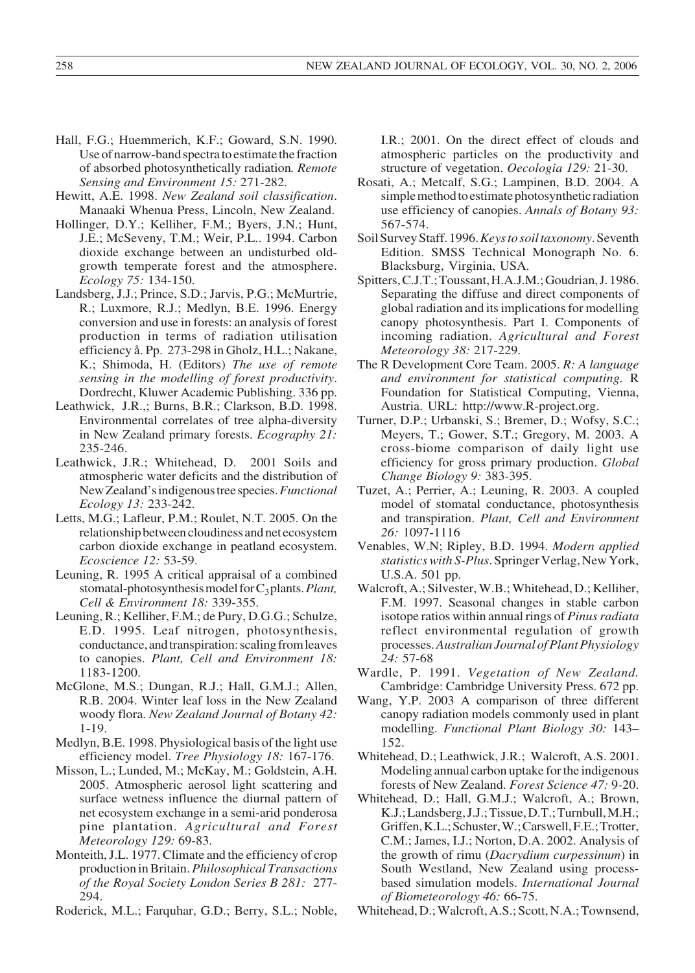- Hall, F.G.; Huemmerich, K.F.; Goward, S.N. 1990. Use of narrow-band spectra to estimate the fraction of absorbed photosynthetically radiation*. Remote Sensing and Environment 15:* 271-282.
- Hewitt, A.E. 1998. *New Zealand soil classification*. Manaaki Whenua Press, Lincoln, New Zealand.
- Hollinger, D.Y.; Kelliher, F.M.; Byers, J.N.; Hunt, J.E.; McSeveny, T.M.; Weir, P.L.. 1994. Carbon dioxide exchange between an undisturbed oldgrowth temperate forest and the atmosphere. *Ecology 75:* 134-150.
- Landsberg, J.J.; Prince, S.D.; Jarvis, P.G.; McMurtrie, R.; Luxmore, R.J.; Medlyn, B.E. 1996. Energy conversion and use in forests: an analysis of forest production in terms of radiation utilisation efficiency å. Pp. 273-298 in Gholz, H.L.; Nakane, K.; Shimoda, H. (Editors) *The use of remote sensing in the modelling of forest productivity*. Dordrecht, Kluwer Academic Publishing. 336 pp.
- Leathwick, J.R.,; Burns, B.R.; Clarkson, B.D. 1998. Environmental correlates of tree alpha-diversity in New Zealand primary forests. *Ecography 21:* 235-246.
- Leathwick, J.R.; Whitehead, D. 2001 Soils and atmospheric water deficits and the distribution of New Zealand's indigenous tree species. *Functional Ecology 13:* 233-242.
- Letts, M.G.; Lafleur, P.M.; Roulet, N.T. 2005. On the relationship between cloudiness and net ecosystem carbon dioxide exchange in peatland ecosystem. *Ecoscience 12:* 53-59.
- Leuning, R. 1995 A critical appraisal of a combined stomatal-photosynthesis model for C<sub>3</sub> plants. *Plant*, *Cell & Environment 18:* 339-355.
- Leuning, R.; Kelliher, F.M.; de Pury, D.G.G.; Schulze, E.D. 1995. Leaf nitrogen, photosynthesis, conductance, and transpiration: scaling from leaves to canopies. *Plant, Cell and Environment 18:* 1183-1200.
- McGlone, M.S.; Dungan, R.J.; Hall, G.M.J.; Allen, R.B. 2004. Winter leaf loss in the New Zealand woody flora. *New Zealand Journal of Botany 42:* 1-19.
- Medlyn, B.E. 1998. Physiological basis of the light use efficiency model. *Tree Physiology 18:* 167-176.
- Misson, L.; Lunded, M.; McKay, M.; Goldstein, A.H. 2005. Atmospheric aerosol light scattering and surface wetness influence the diurnal pattern of net ecosystem exchange in a semi-arid ponderosa pine plantation. *Agricultural and Forest Meteorology 129:* 69-83.
- Monteith, J.L. 1977. Climate and the efficiency of crop production in Britain. *Philosophical Transactions of the Royal Society London Series B 281:* 277- 294.
- Roderick, M.L.; Farquhar, G.D.; Berry, S.L.; Noble,

I.R.; 2001. On the direct effect of clouds and atmospheric particles on the productivity and structure of vegetation. *Oecologia 129:* 21-30.

- Rosati, A.; Metcalf, S.G.; Lampinen, B.D. 2004. A simple method to estimate photosynthetic radiation use efficiency of canopies. *Annals of Botany 93:* 567-574.
- Soil Survey Staff. 1996. *Keys to soil taxonomy*. Seventh Edition. SMSS Technical Monograph No. 6. Blacksburg, Virginia, USA.
- Spitters, C.J.T.; Toussant, H.A.J.M.; Goudrian, J. 1986. Separating the diffuse and direct components of global radiation and its implications for modelling canopy photosynthesis. Part I. Components of incoming radiation. *Agricultural and Forest Meteorology 38:* 217-229.
- The R Development Core Team. 2005. *R: A language and environment for statistical computing.* R Foundation for Statistical Computing, Vienna, Austria. URL: http://www.R-project.org.
- Turner, D.P.; Urbanski, S.; Bremer, D.; Wofsy, S.C.; Meyers, T.; Gower, S.T.; Gregory, M. 2003. A cross-biome comparison of daily light use efficiency for gross primary production. *Global Change Biology 9:* 383-395.
- Tuzet, A.; Perrier, A.; Leuning, R. 2003. A coupled model of stomatal conductance, photosynthesis and transpiration. *Plant, Cell and Environment 26:* 1097-1116
- Venables, W.N; Ripley, B.D. 1994. *Modern applied statistics with S-Plus*. Springer Verlag, New York, U.S.A. 501 pp.
- Walcroft, A.; Silvester, W.B.; Whitehead, D.; Kelliher, F.M. 1997. Seasonal changes in stable carbon isotope ratios within annual rings of *Pinus radiata* reflect environmental regulation of growth processes. *Australian Journal of Plant Physiology 24:* 57-68
- Wardle, P. 1991. *Vegetation of New Zealand.* Cambridge: Cambridge University Press. 672 pp.
- Wang, Y.P. 2003 A comparison of three different canopy radiation models commonly used in plant modelling. *Functional Plant Biology 30:* 143– 152.
- Whitehead, D.; Leathwick, J.R.; Walcroft, A.S. 2001. Modeling annual carbon uptake for the indigenous forests of New Zealand. *Forest Science 47:* 9-20.
- Whitehead, D.; Hall, G.M.J.; Walcroft, A.; Brown, K.J.; Landsberg, J.J.; Tissue, D.T.; Turnbull, M.H.; Griffen, K.L.; Schuster, W.; Carswell, F.E.; Trotter, C.M.; James, I.J.; Norton, D.A. 2002. Analysis of the growth of rimu (*Dacrydium curpessinum*) in South Westland, New Zealand using processbased simulation models. *International Journal of Biometeorology 46:* 66-75.
- Whitehead, D.; Walcroft, A.S.; Scott, N.A.; Townsend,